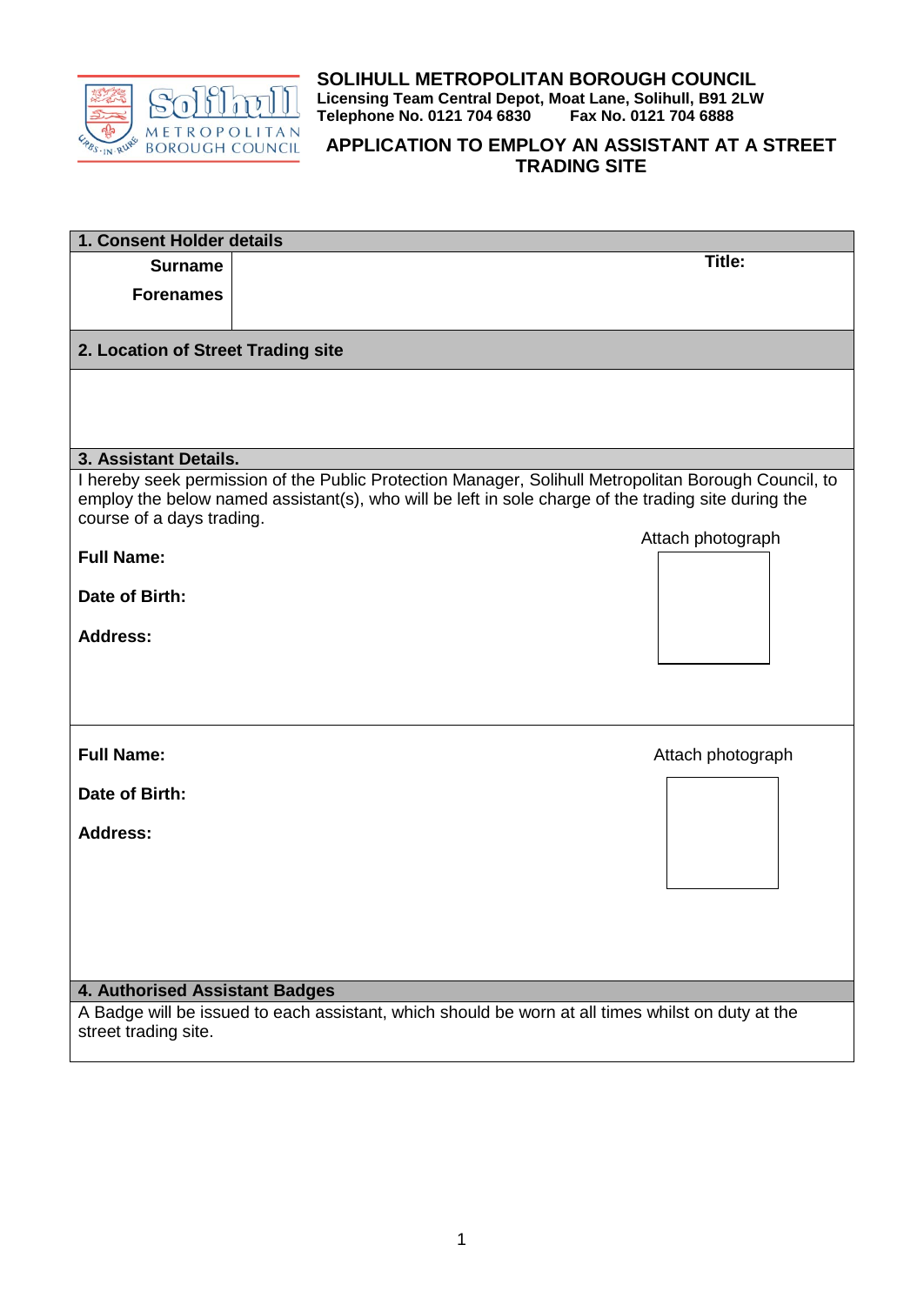

**SOLIHULL METROPOLITAN BOROUGH COUNCIL Licensing Team Central Depot, Moat Lane, Solihull, B91 2LW** Telephone No. 0121 704 6830

## **APPLICATION TO EMPLOY AN ASSISTANT AT A STREET TRADING SITE**

| 1. Consent Holder details                                                                                                 |                                                                                                      |  |  |  |
|---------------------------------------------------------------------------------------------------------------------------|------------------------------------------------------------------------------------------------------|--|--|--|
| <b>Surname</b>                                                                                                            | <b>Title:</b>                                                                                        |  |  |  |
| <b>Forenames</b>                                                                                                          |                                                                                                      |  |  |  |
|                                                                                                                           |                                                                                                      |  |  |  |
| 2. Location of Street Trading site                                                                                        |                                                                                                      |  |  |  |
|                                                                                                                           |                                                                                                      |  |  |  |
|                                                                                                                           |                                                                                                      |  |  |  |
|                                                                                                                           |                                                                                                      |  |  |  |
| 3. Assistant Details.                                                                                                     |                                                                                                      |  |  |  |
|                                                                                                                           | I hereby seek permission of the Public Protection Manager, Solihull Metropolitan Borough Council, to |  |  |  |
| course of a days trading.                                                                                                 | employ the below named assistant(s), who will be left in sole charge of the trading site during the  |  |  |  |
|                                                                                                                           | Attach photograph                                                                                    |  |  |  |
| <b>Full Name:</b>                                                                                                         |                                                                                                      |  |  |  |
|                                                                                                                           |                                                                                                      |  |  |  |
| Date of Birth:                                                                                                            |                                                                                                      |  |  |  |
| <b>Address:</b>                                                                                                           |                                                                                                      |  |  |  |
|                                                                                                                           |                                                                                                      |  |  |  |
|                                                                                                                           |                                                                                                      |  |  |  |
|                                                                                                                           |                                                                                                      |  |  |  |
|                                                                                                                           |                                                                                                      |  |  |  |
| <b>Full Name:</b>                                                                                                         | Attach photograph                                                                                    |  |  |  |
| Date of Birth:                                                                                                            |                                                                                                      |  |  |  |
|                                                                                                                           |                                                                                                      |  |  |  |
| <b>Address:</b>                                                                                                           |                                                                                                      |  |  |  |
|                                                                                                                           |                                                                                                      |  |  |  |
|                                                                                                                           |                                                                                                      |  |  |  |
|                                                                                                                           |                                                                                                      |  |  |  |
|                                                                                                                           |                                                                                                      |  |  |  |
|                                                                                                                           |                                                                                                      |  |  |  |
|                                                                                                                           |                                                                                                      |  |  |  |
| 4. Authorised Assistant Badges                                                                                            |                                                                                                      |  |  |  |
| A Badge will be issued to each assistant, which should be worn at all times whilst on duty at the<br>street trading site. |                                                                                                      |  |  |  |
|                                                                                                                           |                                                                                                      |  |  |  |